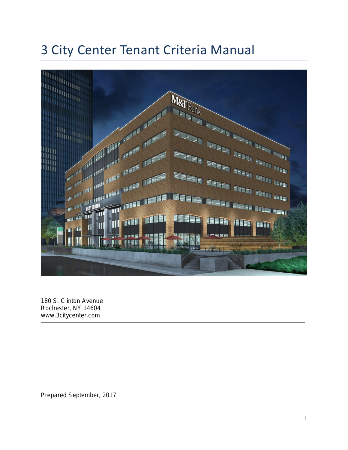# 3 City Center Tenant Criteria Manual



180 S. Clinton Avenue Rochester, NY 14604 www.3citycenter.com

Prepared September, 2017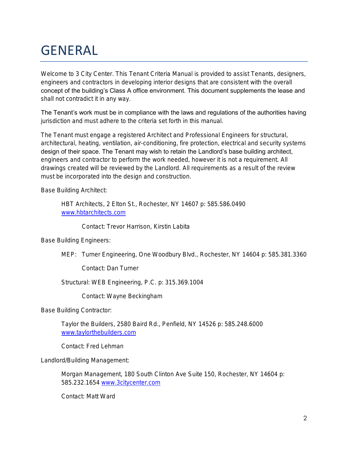# GENERAL

Welcome to 3 City Center. This Tenant Criteria Manual is provided to assist Tenants, designers, engineers and contractors in developing interior designs that are consistent with the overall concept of the building's Class A office environment. This document supplements the lease and shall not contradict it in any way.

The Tenant's work must be in compliance with the laws and regulations of the authorities having jurisdiction and must adhere to the criteria set forth in this manual.

The Tenant must engage a registered Architect and Professional Engineers for structural, architectural, heating, ventilation, air-conditioning, fire protection, electrical and security systems design of their space. The Tenant may wish to retain the Landlord's base building architect, engineers and contractor to perform the work needed, however it is not a requirement. All drawings created will be reviewed by the Landlord. All requirements as a result of the review must be incorporated into the design and construction.

Base Building Architect:

HBT Architects, 2 Elton St., Rochester, NY 14607 p: 585.586.0490 [www.hbtarchitects.com](http://www.hbtarchitects.com/)

Contact: Trevor Harrison, Kirstin Labita

Base Building Engineers:

MEP: Turner Engineering, One Woodbury Blvd., Rochester, NY 14604 p: 585.381.3360

Contact: Dan Turner

Structural: WEB Engineering, P.C. p: 315.369.1004

Contact: Wayne Beckingham

Base Building Contractor:

Taylor the Builders, 2580 Baird Rd., Penfield, NY 14526 p: 585.248.6000 [www.taylorthebuilders.com](http://www.taylorthebuilders.com/)

Contact: Fred Lehman

Landlord/Building Management:

Morgan Management, 180 South Clinton Ave Suite 150, Rochester, NY 14604 p: 585.232.1654 [www.3citycenter.com](http://www.3citycenter.com/)

Contact: Matt Ward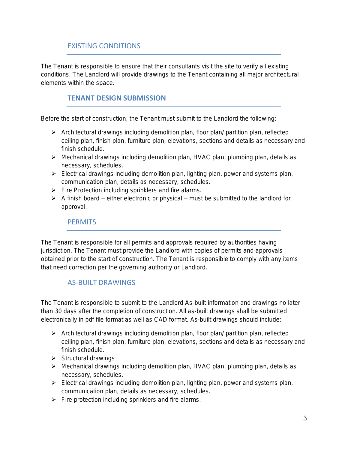# EXISTING CONDITIONS

The Tenant is responsible to ensure that their consultants visit the site to verify all existing conditions. The Landlord will provide drawings to the Tenant containing all major architectural elements within the space.

# **TENANT DESIGN SUBMISSION**

Before the start of construction, the Tenant must submit to the Landlord the following:

- ➢ Architectural drawings including demolition plan, floor plan/ partition plan, reflected ceiling plan, finish plan, furniture plan, elevations, sections and details as necessary and finish schedule.
- ➢ Mechanical drawings including demolition plan, HVAC plan, plumbing plan, details as necessary, schedules.
- ➢ Electrical drawings including demolition plan, lighting plan, power and systems plan, communication plan, details as necessary, schedules.
- ➢ Fire Protection including sprinklers and fire alarms.
- $\triangleright$  A finish board either electronic or physical must be submitted to the landlord for approval.

#### **PERMITS**

The Tenant is responsible for all permits and approvals required by authorities having jurisdiction. The Tenant must provide the Landlord with copies of permits and approvals obtained prior to the start of construction. The Tenant is responsible to comply with any items that need correction per the governing authority or Landlord.

## AS-BUILT DRAWINGS

The Tenant is responsible to submit to the Landlord As-built information and drawings no later than 30 days after the completion of construction. All as-built drawings shall be submitted electronically in pdf file format as well as CAD format. As-built drawings should include:

- ➢ Architectural drawings including demolition plan, floor plan/ partition plan, reflected ceiling plan, finish plan, furniture plan, elevations, sections and details as necessary and finish schedule.
- ➢ Structural drawings
- ➢ Mechanical drawings including demolition plan, HVAC plan, plumbing plan, details as necessary, schedules.
- ➢ Electrical drawings including demolition plan, lighting plan, power and systems plan, communication plan, details as necessary, schedules.
- ➢ Fire protection including sprinklers and fire alarms.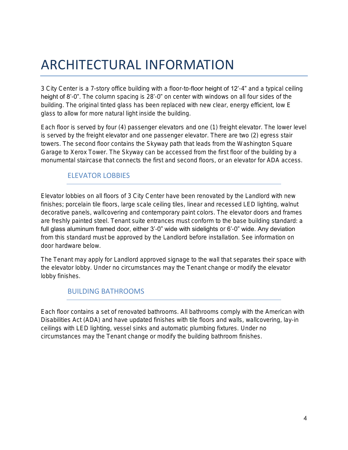# ARCHITECTURAL INFORMATION

3 City Center is a 7-story office building with a floor-to-floor height of 12'-4" and a typical ceiling height of 8'-0". The column spacing is 28'-0" on center with windows on all four sides of the building. The original tinted glass has been replaced with new clear, energy efficient, low E glass to allow for more natural light inside the building.

Each floor is served by four (4) passenger elevators and one (1) freight elevator. The lower level is served by the freight elevator and one passenger elevator. There are two (2) egress stair towers. The second floor contains the Skyway path that leads from the Washington Square Garage to Xerox Tower. The Skyway can be accessed from the first floor of the building by a monumental staircase that connects the first and second floors, or an elevator for ADA access.

## ELEVATOR LOBBIES

Elevator lobbies on all floors of 3 City Center have been renovated by the Landlord with new finishes; porcelain tile floors, large scale ceiling tiles, linear and recessed LED lighting, walnut decorative panels, wallcovering and contemporary paint colors. The elevator doors and frames are freshly painted steel. Tenant suite entrances must conform to the base building standard: a full glass aluminum framed door, either 3'-0" wide with sidelights or 6'-0" wide. Any deviation from this standard must be approved by the Landlord before installation. See information on door hardware below.

The Tenant may apply for Landlord approved signage to the wall that separates their space with the elevator lobby. Under no circumstances may the Tenant change or modify the elevator lobby finishes.

## BUILDING BATHROOMS

Each floor contains a set of renovated bathrooms. All bathrooms comply with the American with Disabilities Act (ADA) and have updated finishes with tile floors and walls, wallcovering, lay-in ceilings with LED lighting, vessel sinks and automatic plumbing fixtures. Under no circumstances may the Tenant change or modify the building bathroom finishes.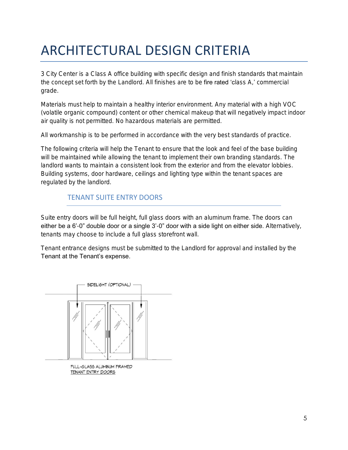# ARCHITECTURAL DESIGN CRITERIA

3 City Center is a Class A office building with specific design and finish standards that maintain the concept set forth by the Landlord. All finishes are to be fire rated 'class A,' commercial grade.

Materials must help to maintain a healthy interior environment. Any material with a high VOC (volatile organic compound) content or other chemical makeup that will negatively impact indoor air quality is not permitted. No hazardous materials are permitted.

All workmanship is to be performed in accordance with the very best standards of practice.

The following criteria will help the Tenant to ensure that the look and feel of the base building will be maintained while allowing the tenant to implement their own branding standards. The landlord wants to maintain a consistent look from the exterior and from the elevator lobbies. Building systems, door hardware, ceilings and lighting type within the tenant spaces are regulated by the landlord.

## TENANT SUITE ENTRY DOORS

Suite entry doors will be full height, full glass doors with an aluminum frame. The doors can either be a 6'-0" double door or a single 3'-0" door with a side light on either side. Alternatively, tenants may choose to include a full glass storefront wall.

Tenant entrance designs must be submitted to the Landlord for approval and installed by the Tenant at the Tenant's expense.



FULL-GLASS ALUMINUM FRAMED TENANT ENTRY DOORS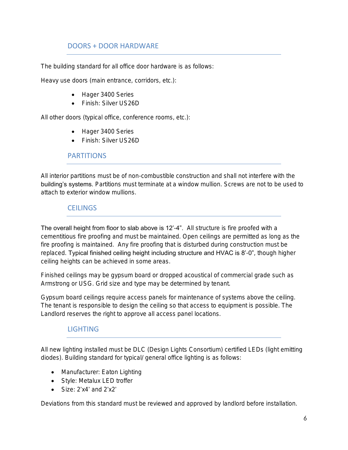# DOORS + DOOR HARDWARE

The building standard for all office door hardware is as follows:

Heavy use doors (main entrance, corridors, etc.):

- Hager 3400 Series
- Finish: Silver US26D

All other doors (typical office, conference rooms, etc.):

- Hager 3400 Series
- Finish: Silver US26D

#### PARTITIONS

All interior partitions must be of non-combustible construction and shall not interfere with the building's systems. Partitions must terminate at a window mullion. Screws are not to be used to attach to exterior window mullions.

#### **CEILINGS**

The overall height from floor to slab above is 12'-4". All structure is fire proofed with a cementitious fire proofing and must be maintained. Open ceilings are permitted as long as the fire proofing is maintained. Any fire proofing that is disturbed during construction must be replaced. Typical finished ceiling height including structure and HVAC is 8'-0", though higher ceiling heights can be achieved in some areas.

Finished ceilings may be gypsum board or dropped acoustical of commercial grade such as Armstrong or USG. Grid size and type may be determined by tenant.

Gypsum board ceilings require access panels for maintenance of systems above the ceiling. The tenant is responsible to design the ceiling so that access to equipment is possible. The Landlord reserves the right to approve all access panel locations.

## **LIGHTING**

All new lighting installed must be DLC (Design Lights Consortium) certified LEDs (light emitting diodes). Building standard for typical/ general office lighting is as follows:

- Manufacturer: Eaton Lighting
- Style: Metalux LED troffer
- Size:  $2'x4'$  and  $2'x2'$

Deviations from this standard must be reviewed and approved by landlord before installation.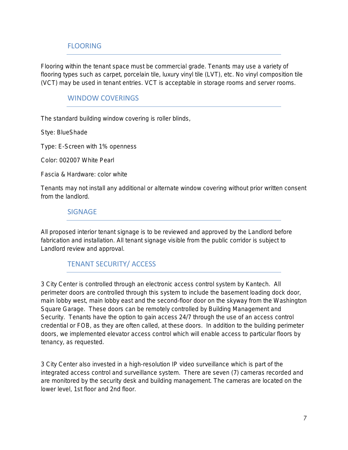# FLOORING

Flooring within the tenant space must be commercial grade. Tenants may use a variety of flooring types such as carpet, porcelain tile, luxury vinyl tile (LVT), etc. No vinyl composition tile (VCT) may be used in tenant entries. VCT is acceptable in storage rooms and server rooms.

#### WINDOW COVERINGS

The standard building window covering is roller blinds,

Stye: BlueShade

Type: E-Screen with 1% openness

Color: 002007 White Pearl

Fascia & Hardware: color white

Tenants may not install any additional or alternate window covering without prior written consent from the landlord.

#### SIGNAGE

All proposed interior tenant signage is to be reviewed and approved by the Landlord before fabrication and installation. All tenant signage visible from the public corridor is subject to Landlord review and approval.

## TENANT SECURITY/ ACCESS

3 City Center is controlled through an electronic access control system by Kantech. All perimeter doors are controlled through this system to include the basement loading dock door, main lobby west, main lobby east and the second-floor door on the skyway from the Washington Square Garage. These doors can be remotely controlled by Building Management and Security. Tenants have the option to gain access 24/7 through the use of an access control credential or FOB, as they are often called, at these doors. In addition to the building perimeter doors, we implemented elevator access control which will enable access to particular floors by tenancy, as requested.

3 City Center also invested in a high-resolution IP video surveillance which is part of the integrated access control and surveillance system. There are seven (7) cameras recorded and are monitored by the security desk and building management. The cameras are located on the lower level, 1st floor and 2nd floor.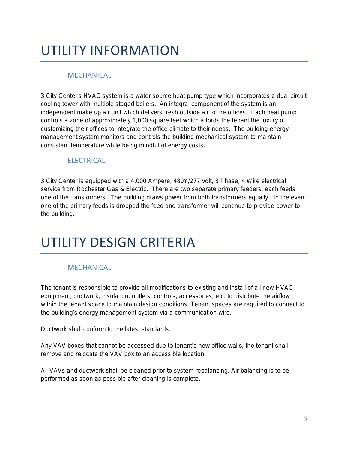# UTILITY INFORMATION

# **MECHANICAL**

3 City Center's HVAC system is a water source heat pump type which incorporates a dual circuit cooling tower with multiple staged boilers. An integral component of the system is an independent make up air unit which delivers fresh outside air to the offices. Each heat pump controls a zone of approximately 1,000 square feet which affords the tenant the luxury of customizing their offices to integrate the office climate to their needs. The building energy management system monitors and controls the building mechanical system to maintain consistent temperature while being mindful of energy costs.

#### **ELECTRICAL**

3 City Center is equipped with a 4,000 Ampere, 480Y/277 volt, 3 Phase, 4 Wire electrical service from Rochester Gas & Electric. There are two separate primary feeders, each feeds one of the transformers. The building draws power from both transformers equally. In the event one of the primary feeds is dropped the feed and transformer will continue to provide power to the building.

# UTILITY DESIGN CRITERIA

## **MECHANICAL**

The tenant is responsible to provide all modifications to existing and install of all new HVAC equipment, ductwork, insulation, outlets, controls, accessories, etc. to distribute the airflow within the tenant space to maintain design conditions. Tenant spaces are required to connect to the building's energy management system via a communication wire.

Ductwork shall conform to the latest standards.

Any VAV boxes that cannot be accessed due to tenant's new office walls, the tenant shall remove and relocate the VAV box to an accessible location.

All VAVs and ductwork shall be cleaned prior to system rebalancing. Air balancing is to be performed as soon as possible after cleaning is complete.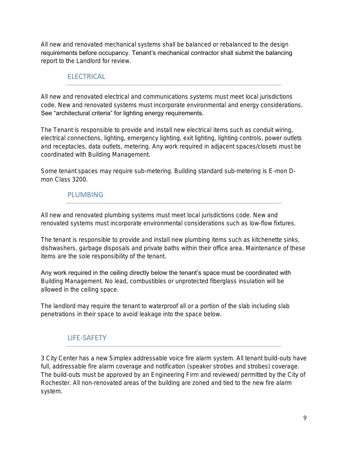All new and renovated mechanical systems shall be balanced or rebalanced to the design requirements before occupancy. Tenant's mechanical contractor shall submit the balancing report to the Landlord for review.

### **FLECTRICAL**

All new and renovated electrical and communications systems must meet local jurisdictions code. New and renovated systems must incorporate environmental and energy considerations. See "architectural criteria" for lighting energy requirements.

The Tenant is responsible to provide and install new electrical items such as conduit wiring, electrical connections, lighting, emergency lighting, exit lighting, lighting controls, power outlets and receptacles, data outlets, metering. Any work required in adjacent spaces/closets must be coordinated with Building Management.

Some tenant spaces may require sub-metering. Building standard sub-metering is E-mon Dmon Class 3200.

#### PLUMBING

All new and renovated plumbing systems must meet local jurisdictions code. New and renovated systems must incorporate environmental considerations such as low-flow fixtures.

The tenant is responsible to provide and install new plumbing items such as kitchenette sinks, dishwashers, garbage disposals and private baths within their office area. Maintenance of these items are the sole responsibility of the tenant.

Any work required in the ceiling directly below the tenant's space must be coordinated with Building Management. No lead, combustibles or unprotected fiberglass insulation will be allowed in the ceiling space.

The landlord may require the tenant to waterproof all or a portion of the slab including slab penetrations in their space to avoid leakage into the space below.

## LIFE-SAFETY

3 City Center has a new Simplex addressable voice fire alarm system. All tenant build-outs have full, addressable fire alarm coverage and notification (speaker strobes and strobes) coverage. The build-outs must be approved by an Engineering Firm and reviewed/ permitted by the City of Rochester. All non-renovated areas of the building are zoned and tied to the new fire alarm system.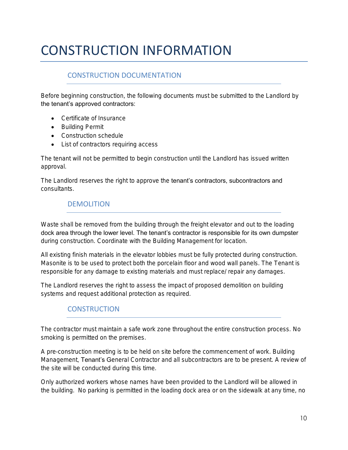# CONSTRUCTION INFORMATION

# CONSTRUCTION DOCUMENTATION

Before beginning construction, the following documents must be submitted to the Landlord by the tenant's approved contractors:

- Certificate of Insurance
- Building Permit
- Construction schedule
- List of contractors requiring access

The tenant will not be permitted to begin construction until the Landlord has issued written approval.

The Landlord reserves the right to approve the tenant's contractors, subcontractors and consultants.

## DEMOLITION

Waste shall be removed from the building through the freight elevator and out to the loading dock area through the lower level. The tenant's contractor is responsible for its own dumpster during construction. Coordinate with the Building Management for location.

All existing finish materials in the elevator lobbies must be fully protected during construction. Masonite is to be used to protect both the porcelain floor and wood wall panels. The Tenant is responsible for any damage to existing materials and must replace/ repair any damages.

The Landlord reserves the right to assess the impact of proposed demolition on building systems and request additional protection as required.

# **CONSTRUCTION**

The contractor must maintain a safe work zone throughout the entire construction process. No smoking is permitted on the premises.

A pre-construction meeting is to be held on site before the commencement of work. Building Management, Tenant's General Contractor and all subcontractors are to be present. A review of the site will be conducted during this time.

Only authorized workers whose names have been provided to the Landlord will be allowed in the building. No parking is permitted in the loading dock area or on the sidewalk at any time, no